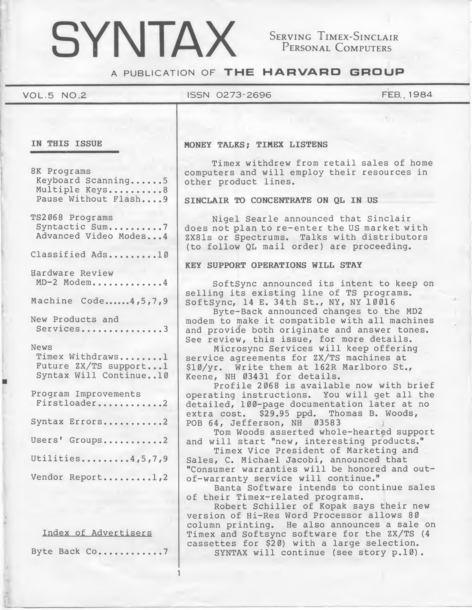# SYNTAX

SERVING TIMEX-SINCLAIR<br>PERSONAL COMPUTERS

A PUBLICATION OF THE HARVARD GROUP

# VOL.5 NO.2 ISSN 0273\*2696 FEB., 1984

8K Programs Keyboard Scanning......5 Multiple Keys..........8 Pause Without Flash....9

TS2068 Programs Syntactic Sum..........7 Advanced Video Modes...4

Classified Ads.........10

Hardware Review MD-2 Modem............4

Machine Code......4, 5, 7, 9

New Products and Services...............3

#### News

Timex Withdraws.......1 Future ZX/TS support...1 Syntax Will Continue..10

| Program Improvements<br>Firstloader2 |  |  |  |  |  |  |
|--------------------------------------|--|--|--|--|--|--|
| Syntax Errors2                       |  |  |  |  |  |  |
| Users' Groups2                       |  |  |  |  |  |  |
| Utilities4,5,7,9                     |  |  |  |  |  |  |
| Vendor Report1,2                     |  |  |  |  |  |  |

Index of Advertisers

Byte Back Co............7

1

# IN THIS ISSUE MONEY TALKS; TIMEX LISTENS

Timex withdrew from retail sales of home computers and will employ their resources in other product lines.

## SINCLAIR TO CONCENTRATE ON QL IN US

Nigel Searle announced that Sinclair does not plan to re-enter the US market with ZX81s or Spectrums. Talks with distributors (to follow QL mail order) are proceeding.

# KEY SUPPORT OPERATIONS WILL STAY

SoftSync announced its intent to keep on selling its existing line of TS programs. SoftSync, <sup>14</sup> E. 34th St., NY, NY 10016

Byte-Back announced changes to the MD2 modem to make it compatible with all machines and provide both originate and answer tones. See review, this issue, for more details.

Microsync Services will keep offering service agreements for ZX/TS machines at \$10/yr. Write them at 162R Marlboro St., Keene, NH <sup>03431</sup> for details.

Profile 2068 is available now with brief operating instructions. You will get all the detailed, 100-page documentation later at no extra cost. \$29.95 ppd. Thomas B. Woods, POB 64, Jefferson, NH 03583

Tom Woods asserted whole-hearted support and will start "new, interesting products."

Timex Vice President of Marketing and Sales, C. Michael Jacobi, announced that "Consumer warranties will be honored and outof-warranty service will continue."

Banta Software intends to continue sales of their Timex-related programs.

Robert Schiller of Kopak says their new version of Hi-Res Word Processor allows 80 column printing. He also announces a sale on Timex and Softsync software for the ZX/TS (4 cassettes for \$20) with a large selection. SYNTAX will continue (see story p.10).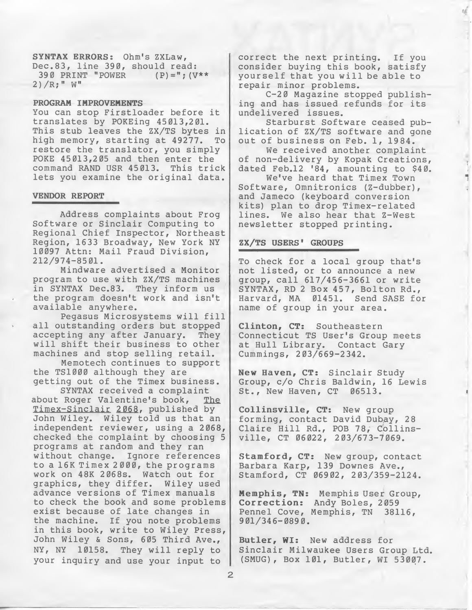SYNTAX ERRORS: Ohm's ZXLaw, Dec.83, line 390, should read: 390 PRINT "POWER  $(P) = "$ ; (V\*\*  $2)$  /R; "  $W$ "

### PROGRAM IMPROVEMENTS

You can stop Firstloader before it translates by POKEing 45013,201. This stub leaves the ZX/TS bytes in high memory, starting at 49277. To restore the translator, you simply POKE 45013,205 and then enter the command RAND USR 45013. This trick lets you examine the original data.

#### VENDOR REPORT

Address complaints about Frog Software or Sinclair Computing to Regional Chief Inspector, Northeast Region, 1633 Broadway, New York NY 10097 Attn: Mail Fraud Division, 212/974-8501.

Mindware advertised a Monitor program to use with ZX/TS machines in SYNTAX Dec.83. They inform us the program doesn't work and isn't available anywhere.

Pegasus Microsystems will fill all outstanding orders but stopped accepting any after January. They will shift their business to other machines and stop selling retail.

Memotech continues to support the TS1000 although they are getting out of the Timex business.

SYNTAX received a complaint about Roger Valentine's book, The Timex-Sinclair 2068, published by John Wiley. Wiley told us that an independent reviewer, using a 2068, checked the complaint by choosing <sup>5</sup> programs at random and they ran without change. Ignore references to a 16K Timex <sup>2</sup> 000, the programs work on 48K 2068s. Watch out for graphics, they differ. Wiley used advance versions of Timex manuals to check the book and some problems exist because of late changes in the machine. If you note problems in this book, write to Wiley Press, John Wiley & Sons, 605 Third Ave., NY, NY 10158. They will reply to your inquiry and use your input to

correct the next printing. If you consider buying this book, satisfy yourself that you will be able to repair minor problems.

C-20 Magazine stopped publishing and has issued refunds for its undelivered issues.

Starburst Software ceased pub lication of ZX/TS software and gone out of business on Feb. 1, 1984.

We received another complaint of non-delivery by Kopak Creations, dated Feb.12 '84, amounting to \$40.

We've heard that Timex Town Software, Omnitronics (Z-dubber), and Jameco (keyboard conversion kits) plan to drop Timex-related lines. We also hear that Z-West newsletter stopped printing.

# ZX/TS USERS' GROUPS

To check for a local group that's not listed, or to announce <sup>a</sup> new group, call 617/456-3661 or write SYNTAX, RD <sup>2</sup> Box 457, Bolton Rd., Harvard, MA 01451. Send SASE for name of group in your area.

Clinton, CT: Southeastern Connecticut TS User's Group meets at Hull Library. Contact Gary Cummings, 203/669-2342.

New Haven, CT: Sinclair Study Group, c/o Chris Baldwin, 16 Lewis St., New Haven, CT

Collinsville, CT: New group forming, contact David Dubay, 28 Claire Hill Rd., POB 78, Collinsville, CT 06022, 203/673-7069.

Stamford, CT: New group, contact Barbara Karp, 139 Downes Ave., Stamford, CT 06902, 203/359-2124.

Memphis, TN: Memphis User Group, Correction: Andy Boles, 2059<br>Pennel Cove, Memphis, TN 38116, Pennel Cove, Memphis, TN 901/346-0890.

Butler, WI: New address for Sinclair Milwaukee Users Group Ltd. (SMUG), Box 101, Butler, WI 53007.

2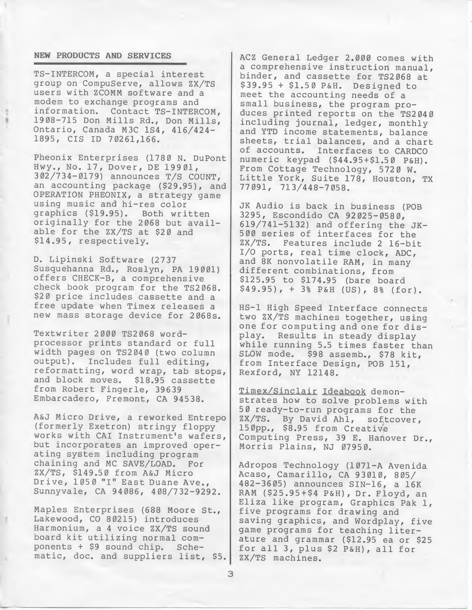# NEW PRODUCTS AND SERVICES

TS-INTERCOM, a special interest group on CompuServe, allows ZX/TS users with ZCOMM software and a modem to exchange programs and information. Contact TS-INTERCOM, 1908-715 Don Mills Rd., Don Mills, Ontario, Canada M3C 1S4, 416/424- 1895, CIS ID 70261,166.

Pheonix Enterprises (1780 N. DuPont Hwy., No. 17, Dover, DE 19901 , 302/734-0179) announces T/S COUNT, an accounting package (\$29.95), and OPERATION PHEONIX, a strategy game using music and hi-res color<br>graphics (\$19.95). Both written graphics (\$19.95). originally for the 2068 but available for the ZX/TS at \$20 and \$14.95, respectively.

D. Lipinski Software (2737 Susquehanna Rd., Roslyn, PA 19001) offers CHECK-B, a comprehensive check book program for the TS2068. \$20 price includes cassette and a free update when Timex releases a new mass storage device for 2068s.

Textwriter 2000 TS2068 wordprocessor prints standard or full width pages on TS2040 (two column output). Includes full editing, reformatting, word wrap, tab stops,<br>and block moves. \$18.95 cassette and block moves. from Robert Fingerle, 39639 Embarcadero, Fremont, CA 94538.

A&J Micro Drive, a reworked Entrepo (formerly Exetron) stringy floppy works with CAI Instrument's wafers, but incorporates an improved operating system including program chaining and MC SAVE/LOAD. ZX/TS, \$149.50 from A&J Micro Drive, 1050 "I" East Duane Ave., Sunnyvale, CA 94086, 408/732-9292.

Maples Enterprises (688 Moore St., Lakewood, CO 80215) introduces Harmonium, a <sup>4</sup> voice ZX/TS sound board kit utilizing normal com-<br>ponents + \$9 sound chip. Scheponents +  $$9$  sound chip. matic, doc. and suppliers list, \$5. ACZ General Ledger 2.000 comes with a comprehensive instruction manual, binder, and cassette for TS2068 at \$39.95 <sup>+</sup> \$1.50 P&H. Designed to meet the accounting needs of a small business, the program produces printed reports on the TS2040 including journal, ledger, monthly and YTD income statements, balance sheets, trial balances, and <sup>a</sup> chart of accounts. Interfaces to CARDCO numeric keypad (\$44.95+\$1.50 P&H). From Cottage Technology, 5720 W. Little York, Suite 178, Houston, TX 77091, 713/448-7058.

JK Audio is back in business (POB 3295, Escondido CA 92025-0580, 619/741-5132) and offering the JK-500 series of interfaces for the ZX/TS. Features include <sup>2</sup> 16-bit I/O ports, real time clock, ADC, and 8K nonvolatile RAM, in many different combinations, from \$125.95 to \$174.95 (bare board \$49.95), <sup>+</sup> 3% P&H (US), 8% (for).

HS-1 High Speed Interface connects two ZX/TS machines together, using one for computing and one for display. Results in steady display while running 5.5 times faster than SLOW mode. \$98 assemb., \$78 kit, from Interface Design, POB 151, Rexford, NY 12148.

Timex/Sinclair Ideabook demonstrates how to solve problems with 50 ready-to-run programs for the<br>ZX/TS. By David Ahl, softcover By David Ahl, softcover, 150pp., \$8.95 from Creative Computing Press, 39 E. Hanover Dr., Morris Plains, NJ 07950.

Adropos Technology (1071-A Avenida Acaso, Camarillo, CA 93010, 805/ 482-3605) announces SIN-16, a 16K RAM (\$25.95+\$4 P&H), Dr. Floyd, an Eliza like program, Graphics Pak 1, five programs for drawing and saving graphics, and Wordplay, five game programs for teaching literature and grammar (\$12.95 ea or \$25 for all 3, plus \$2 P&H), all for ZX/TS machines.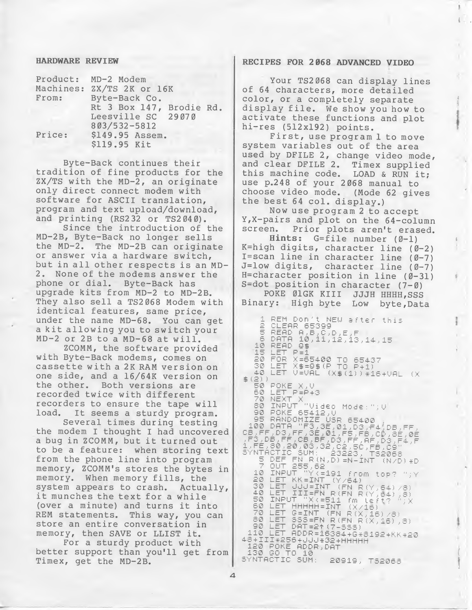# HARDWARE REVIEW

| From:  | Product: MD-2 Modem<br>Machines: ZX/TS 2K or 16K<br>Byte-Back Co. |  |
|--------|-------------------------------------------------------------------|--|
|        | Rt 3 Box 147, Brodie Rd.<br>Leesville SC 29070<br>803/532-5812    |  |
| Price: | \$149.95 Assem.<br>\$119.95 Kit                                   |  |

Byte-Back continues their tradition of fine products for the ZX/TS with the MD-2, an originate only direct connect modem with software for ASCII translation, program and text upload/download, and printing (RS232 or TS2040).

Since the introduction of the MD-2B, Byte-Back no longer sells the MD-2. The MD-2B can originate or answer via a hardware switch, but in all other respects is an MD-2. None of the modems answer the phone or dial. Byte-Back has upgrade kits from MD-2 to MD-2B. They also sell a TS2068 Modem with identical features, same price, under the name MD-68. You can get <sup>a</sup> kit allowing you to switch your MD-2 or 2B to <sup>a</sup> MD-68 at will.

ZCOMM, the software provided with Byte-Back modems, comes on cassette with a 2K RAM version on one side, and a 16/64K version on the other. Both versions are recorded twice with different recorders to ensure the tape will load. It seems <sup>a</sup> sturdy program.

Several times during testing the modem I thought I had uncovered <sup>a</sup> bug in ZCOMM, but it turned out to be a feature: when storing text from the phone line into program memory, ZCOMM's stores the bytes in memory. When memory fills, the<br>system appears to crash. Actually, system appears to crash. it munches the text for <sup>a</sup> while (over <sup>a</sup> minute) and turns it into REM statements. This way, you can store an entire conversation in memory, then SAVE or LLIST it.

For a sturdy product with better support than you'll get from Timex, get the MD-2B.

# RECIPES FOR 2068 ADVANCED VIDEO

Your TS2068 can display lines of <sup>64</sup> characters, more detailed color, or a completely separate display file. We show you how to activate these functions and plot hi-res (512x192) points.

First, use program <sup>1</sup> to move system variables out of the area used by DFILE 2, change video mode, and clear DFILE 2. Timex supplied this machine code. LOAD & RUN it; use p.248 of your 2068 manual to choose video mode. (Mode 62 gives the best <sup>64</sup> col. display.)

Now use program <sup>2</sup> to accept Y,X-pairs and plot on the 64-column Prior plots aren't erased.

Hints: G=file number (0-1) K=high digits, character line (0-2) I=scan line in character line  $(0-7)$ J=low digits, character line (0-7) H=character position in line (0-31) S=dot position in character  $(7 - \emptyset)$ 

POKE ØlGK KIII JJJH HHHH, SSS Binary: High byte Low byte,Data

1 REM Don't NEW after this CLEAR 65399  $\bar{z}$ 2 DEEAD A,B,C,D,E,F<br>5 READ A,B,C,D,E,F<br>0 DEEA 10,11,12,13,14,15 10 READ 0\$ 15 LET  $P = 3$ 10 FOR 2-1<br>30 Let x\$=0\$(p to 65437<br>40 Let x\$=0\$(p to p+1)<br>40 Let v=val (x\$(1))\*16+val (x  $(2)$   $\begin{array}{c} 60 \text{ } 60 \text{ } 60 \text{ } 60 \text{ } 60 \text{ } 60 \text{ } 60 \text{ } 60 \text{ } 60 \text{ } 60 \text{ } 60 \text{ } 60 \text{ } 60 \text{ } 60 \text{ } 60 \text{ } 60 \text{ } 60 \text{ } 60 \text{ } 60 \text{ } 60 \text{ } 60 \text{ } 60 \text{ } 60 \text{ } 60 \text{ } 60 \text{ } 60 \text{ } 60 \text{ } 60 \text{ } 60 \text{ } 60 \$ 70 NEXT X<sup>773</sup><br>80 INPUT "Video Mode:";V<br>80 PONE 65412,V\_ 90 POKE 65412,0<br>100 PRNDOMIZE USR 65400<br>100 PRTA "F3,3E,01,03,54/DB,FF,<br>05,FF,D3,FF,3E,01,F5,F5,C0,8E,0E<br>.F5,D6,FF,03,BF,D3,FF,AF,D5,F4,F<br>1,FE,80,20,03,32,C2,5C,F5,C9<br>5 DEF FN R(N),D)=N-INT (N/D)\*D<br>7 OUT 255,62<br>10 INPUT "Y 10 INPUT "YK=191 from top? ";<br>20 LET KR=INT (Y/64)<br>30 LET JJJ=FN R(FN R(Y,64)/8)<br>40 LET JIJ=FN R(FN R(Y,64)/8)<br>50 INPUT "XK=511 fm left?")X<br>60 LET HHHHH=INT (X/16)<br>70 LET G=INT (FN R(X,16)/8)<br>90 LET DAT=2t(7-888) 90 LET 08T=2117-555) 110 LET ADDR=16384+6\*8<br>48+III\*256+JJJ\*32+HHHHH<br>120 POKE ADDR.DaT ADDR=16384+G\*8192+KK\*20 8+III¥256+JJJ+32+<br>120 POKE ADDR,DAT<br>130 SO\_IO\_10 130 60 TO 10<br>SYNTACTIC SUM: 20919, TS2068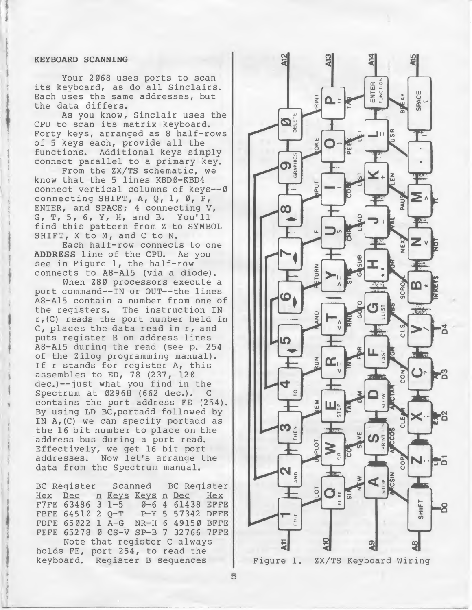#### KEYBOARD SCANNING

Your 2068 uses ports to scan its keyboard, as do all Sinclairs. Each uses the same addresses, but the data differs.

As you know, Sinclair uses the CPU to scan its matrix keyboard. Forty keys, arranged as <sup>8</sup> half-rows of <sup>5</sup> keys each, provide all the functions. Additional keys simply connect parallel to a primary key.

From the ZX/TS schematic, we know that the <sup>5</sup> lines KBD0-KBD4 connect vertical columns of keys--0 connecting SHIFT, A, Q, 1, Ø, P, ENTER, and SPACE; <sup>4</sup> connecting V, G, T, 5, 6, Y, H, and B. You'll find this pattern from <sup>Z</sup> to SYMBOL SHIFT, <sup>X</sup> to M, and <sup>C</sup> to N.

Each half-row connects to one ADDRESS line of the CPU. As you see in Figure 1, the half-row connects to A8-A15 (via a diode).

When 280 processors execute a port command--IN or OUT--the lines A8-A15 contain a number from one of the registers. The instruction IN r,(C) reads the port number held in C, places the data read in r, and puts register <sup>B</sup> on address lines A8-A15 during the read (see p. 254 of the Zilog programming manual). If r stands for register A, this assembles to ED, 78 (237, 120 dec.)--just what you find in the<br>Spectrum at 0296H (662 dec.). C Spectrum at 0296H (662 dec.). contains the port address FE (254). By using LD BC,portadd followed by IN A,(C) we can specify portadd as the <sup>16</sup> bit number to place on the address bus during a port read. Effectively, we get <sup>16</sup> bit port addresses. Now let's arrange the data from the Spectrum manual.

BC Register Scanned BC Register<br>Hex Dec n Keys Keys n Dec Hex n Keys Keys n Dec Hex<br>3 1-5 0-6 4 61438 EFFE F7FE 63486 3 1-5<br>FBFE 64510 2 Q-T P-Y 5 57342 DFFE FDFE 65022 1 A-G NR-H 6 49150 BFFE FEFE 65278 Ø CS-V SP-B 7 32766 7FFE Note that register <sup>C</sup> always holds FE, port 254, to read the keyboard. Register <sup>B</sup> sequences



Figure 1. ZX/TS Keyboard Wiring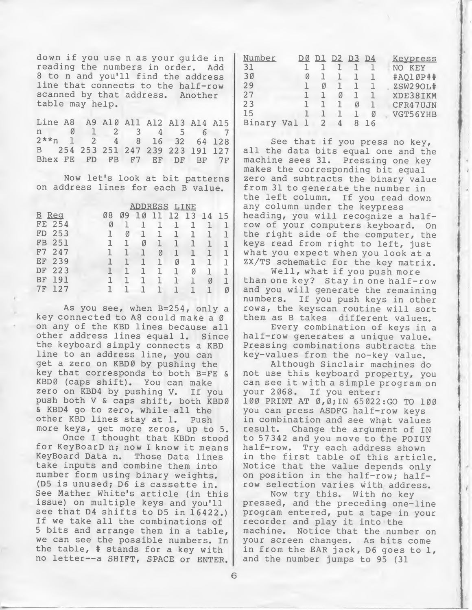down if you use n as your guide in<br>reading the numbers in order. Add reading the numbers in order. <sup>8</sup> to n and you'll find the address line that connects to the half-row scanned by that address. Another table may help.

Line A8 A9 A10 All A12 A13 A14 A15 Line A8 A9 A10 A11 A12 A13 A14 A15<br>n 0 1 2 3 4 5 6 7<br>2\*\*n 1 2 4 8 16 32 64 128 2\*\*n 1 2 4 8 16 32 64 128 <sup>B</sup> 254 253 251 247 239 223 191 127 Bhex FE FD FB F7 EF DF BF 7F

Now let's look at bit patterns on address lines for each <sup>B</sup> value.

|                |        | <b>ADDRESS</b><br>LINE |    |   |   |   |    |    |    |    |  |
|----------------|--------|------------------------|----|---|---|---|----|----|----|----|--|
| $\overline{B}$ | Reg    |                        | Ø8 |   | Ø | 1 | 12 | 13 | 14 | 15 |  |
|                | FE 254 |                        | Ø  |   |   |   |    |    |    |    |  |
| FD             | 253    |                        |    | Ø | ı | ı | ı  | ı  |    |    |  |
| FB             | 251    |                        | 1  | ٦ | Ø |   | ٦  |    | ш  |    |  |
| F7             | 247    |                        |    |   |   | Ø | ٦  |    |    |    |  |
| EF             | 239    |                        |    |   |   |   | Ø  | 1  |    |    |  |
| DF             | 223    |                        |    |   | 1 |   | ٦  | Ø  | ı  |    |  |
| BF             | 191    |                        |    |   |   |   |    | ٦  | Ø  |    |  |
| 7F             | 127    |                        |    |   |   |   |    |    |    | Ø  |  |

As you see, when B=254, only a key connected to A8 could make a Ø on any of the KBD lines because all other address lines equal 1. Since the keyboard simply connects a KBD line to an address line, you can get a zero on KBD0 by pushing the key that corresponds to both B=FE & KBD0 (caps shift). You can make zero on KBD4 by pushing V. If you push both <sup>V</sup> & caps shift, both KBD0 & KBD4 go to zero, while all the other KBD lines stay at 1. more keys, get more zeros, up to 5.

Once I thought that KBDn stood for KeyBoarD n; now <sup>I</sup> know it means KeyBoard Data n. Those Data lines take inputs and combine them into number form using binary weights. (D5 is unused; D6 is cassette in. See Mather White's article (in this issue) on multiple keys and you'll see that D4 shifts to D5 in 16422.) If we take all the combinations of <sup>5</sup> bits and arrange them in a table, we can see the possible numbers. In the table, # stands for a key with no letter—a SHIFT, SPACE or ENTER.

| Number |     |   | DT |   | D2 D3 D4 |    | Keypress        |
|--------|-----|---|----|---|----------|----|-----------------|
| 31     |     |   |    |   |          |    | KEY<br>NO       |
| 30     |     | Ø |    |   |          |    | #AQ10P##        |
| 2.9    |     |   | И  |   |          |    | <b>ZSW29OL#</b> |
| 27     |     |   |    | Ø |          |    | XDE38IKM        |
| 23     |     |   |    |   | Ø        |    | CFR47UJN        |
| 15     |     |   |    |   |          | Ø  | VGT56YHB        |
| Binary | Val |   |    |   |          | 16 |                 |

See that if you press no key, all the data bits equal one and the machine sees 31. Pressing one key makes the corresponding bit equal zero and subtracts the binary value from <sup>31</sup> to generate the number in the left column. If you read down any column under the keypress heading, you will recognize a halfrow of your computers keyboard. On the right side of the computer, the keys read from right to left, just what you expect when you look at a ZX/TS schematic for the key matrix.

Well, what if you push more than one key? Stay in one half-row and you will generate the remaining numbers. If you push keys in other rows, the keyscan routine will sort them as <sup>B</sup> takes different values.

Every combination of keys in a half-row generates a unique value. Pressing combinations subtracts the key-values from the no-key value.

Although Sinclair machines do not use this keyboard property, you can see it with <sup>a</sup> simple program on your 2068. If you enter: 100 PRINT AT 0,0;IN 65022:GO TO 100 you can press ASDFG half-row keys in combination and see what values result. Change the argument of IN to 57342 and you move to the POIUY half-row. Try each address shown in the first table of this article. Notice that the value depends only on position in the half-row; halfrow selection varies with address.

Now try this. With no key pressed, and the preceding one-line program entered, put a tape in your recorder and play it into the machine. Notice that the number on your screen changes. As bits come in from the EAR jack, D6 goes to 1, and the number jumps to 95 (31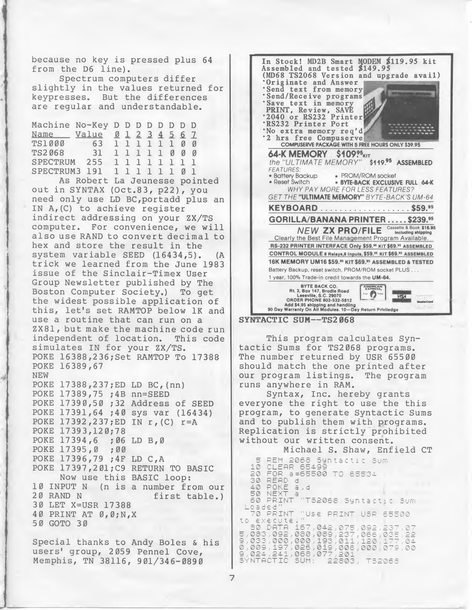because no key is pressed plus <sup>64</sup> from the D6 line).

Spectrum computers differ slightly in the values returned for keypresses. But the differences are regular and understandable.

| Machine No-Key D D D D D D D D |                               |  |  |  |  |
|--------------------------------|-------------------------------|--|--|--|--|
| Name Value 0 1 2 3 4 5 6 7     |                               |  |  |  |  |
| TS1000 63 1 1 1 1 1 0 0        |                               |  |  |  |  |
| TS2068 31 1 1 1 1 1 0 0 0      |                               |  |  |  |  |
| SPECTRUM 255 11111111          |                               |  |  |  |  |
| SPECTRUM3 191 1 1 1 1 1 1 0 1  |                               |  |  |  |  |
|                                | As Robert La Jeunesse pointed |  |  |  |  |
|                                |                               |  |  |  |  |

out in SYNTAX (Oct.83, p22), you need only use LD BC,portadd plus an IN A, (C) to achieve register indirect addressing on your ZX/TS computer. For convenience, we will also use RAND to convert decimal to hex and store the result in the system variable SEED (16434,5). (A trick we learned from the June 1983 issue of the Sinclair-Timex User Group Newsletter published by The Boston Computer Society.) To get the widest possible application of this, let's set RAMTOP below IK and use <sup>a</sup> routine that can run on a ZX81, but make the machine code run<br>independent of location. This code independent of location. simulates IN for your ZX/TS. POKE 16388,236;Set RAMTOP To 17388 POKE 16389,67 NEW POKE 17388,237;ED LD BC,(nn) POKE 17389,75 ;4B nn=SEED POKE 17390,50 ;32 Address of SEED POKE 17391,64 ;40 sys var (16434) POKE 17392,237;ED IN r,(C) r=A POKE 17393,120;78<br>POKE 17394,6 ;06 LD B,0 POKE 17394,6 ;06<br>POKE 17395,0 ;00 POKE 17395,0 POKE 17396,79 ;4F LD C,A POKE 17397,2 01;C9 RETURN TO BASIC Now use this BASIC loop: 10 INPUT N (n is a number from our<br>20 RAND N first table.) 30 LET X=USR 17388 40 PRINT AT 0,0;N,X 50 GOTO 30

Special thanks to Andy Boles & his users' group, 2059 Pennel Cove, Memphis, TN 38116, 901/346-0890



SYNTACTIC SUM--TS2068

This program calculates Syntactic Sums for TS2068 programs. The number returned by USR 65500 should match the one printed after our program listings. The program runs anywhere in RAM.

Syntax, Inc. hereby grants everyone the right to use the this program, to generate Syntactic Sums and to publish them with programs. Replication is strictly prohibited without our written consent.

Michael S. Shaw, Enfield CT<br>REM 2068 Syntactic Sum<br>CLEAR 65499  $\equiv$ 1ē FOR 8=65500 TO 65534  $20$ READ<br>POKE a,d<br>NEXT a 30  $\triangle$   $\Box$ 5Ø. PRINT "T52068 Syntactic Sum 60 Loaded"<br>
70 PRINT "Use PRINT USR 65500<br>
10 execute."<br>
50 DATR 157,042,075,092,237,07<br>
5,083,000,000,193,0311,120,177,04<br>
9,033,000,000,193,011,120,177,04<br>
9,024,241,088,017,201<br>
9,024,241,068,017,201<br>
8YNTACTIC SUM: 22803, Loaded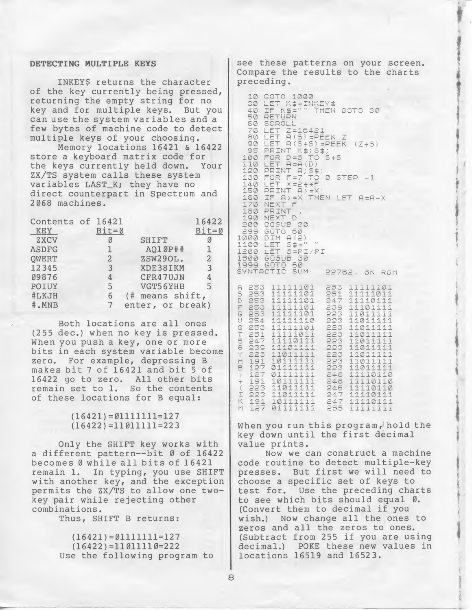# DETECTING MULTIPLE KEYS

INKEY\$ returns the character of the key currently being pressed, returning the empty string for no key and for multiple keys. But you can use the system variables and a few bytes of machine code to detect multiple keys of your choosing.

Memory locations 16421 & 16422 store a keyboard matrix code for the keys currently held down. Your ZX/TS system calls these system variables LAST\_K; they have no direct counterpart in Spectrum and 2068 machines.

| Contents of 16421<br>KEY | $Bit = ∅$      |                  | 16422<br>Bit=Ø |
|--------------------------|----------------|------------------|----------------|
| ZXCV                     |                | SHIFT            |                |
| <b>ASDFG</b>             |                | AO10P##          |                |
| OWERT                    | $\overline{2}$ | ZSW29OL.         | 2              |
| 12345                    | 3              | XDE38IKM         | 3              |
| 09876                    |                | CFR47UJN         |                |
| POIUY                    | 5              | VGT56YHB         | 5              |
| #LKJH                    | 6              | (# means shift,  |                |
| #.MNB                    |                | enter, or break) |                |

Both locations are all ones (255 dec.) when no key is pressed. When you push a key, one or more bits in each system variable become zero. For example, depressing <sup>B</sup> makes bit <sup>7</sup> of 16421 and bit <sup>5</sup> of <sup>16422</sup> go to zero. All other bits remain set to 1. So the contents of these locations for <sup>B</sup> equal:

# $(16421) = 01111111 = 127$  $(16422) = 11011111 = 223$

Only the SHIFT key works with a different pattern--bit Ø of 16422 becomes <sup>0</sup> while all bits of <sup>16421</sup> remain 1. In typing, you use SHIFT with another key, and the exception permits the ZX/TS to allow one twokey pair while rejecting other combinations.

Thus, SHIFT <sup>B</sup> returns:

 $(16421)=01111111=127$  $(16422)=11011110=222$ Use the following program to

see these patterns on your screen. Compare the results to the charts preceding.

| 30<br>40<br>60<br>70<br>80<br>90<br>95<br>100<br>110<br>120<br>130.<br>140 LET<br>160<br>170<br>190 NEXT<br>299 GOTO<br>000 DIM A(2)<br><u>וֹפֹּ</u> םׁ בְּפִּנ<br>200L<br>500 GOSUB<br>DIOS B99.<br>Extractio                                                                                                                                                                                               | IF<br>LET<br>ET.<br>Ł<br>IF<br>NEXT | 10 GOTO 1000<br>LET K\$=INKEY\$<br>K\$="" THEN GOTO 30<br>50 RETURN<br>SCROL<br>ř.<br>$LET Z=15421$<br>PRINT<br>$FOR$ $D = 5$<br>LET $A= A(D)$<br>PRINT A; 5\$;<br>$FOR$ $F = 7$<br>150 PRINT A>=X;<br>$A$ > = X THEN LET $A=A-X$<br>$\overline{r}$<br>180 PRINT<br>Ð<br>200 GOSUB 30<br>ET | $X = 2 ÷ ÷ F$<br>50<br>$5 \pm 10^{-10}$<br>30<br>50<br>SUM:                  | $A(5) = PEEK Z$<br>A (545) =PEEK (Z+5)<br>K\$; 5\$;<br>TO<br>TO 0 STEP -1<br>S=PI/PI | 5+5                                                                                                                             |                       | 22782, 8K ROM                                                                                                                                                                                          |                                                         |  |
|--------------------------------------------------------------------------------------------------------------------------------------------------------------------------------------------------------------------------------------------------------------------------------------------------------------------------------------------------------------------------------------------------------------|-------------------------------------|---------------------------------------------------------------------------------------------------------------------------------------------------------------------------------------------------------------------------------------------------------------------------------------------|------------------------------------------------------------------------------|--------------------------------------------------------------------------------------|---------------------------------------------------------------------------------------------------------------------------------|-----------------------|--------------------------------------------------------------------------------------------------------------------------------------------------------------------------------------------------------|---------------------------------------------------------|--|
| į<br>253<br>contract the contract of the contract of the contract of the contract of the contract of the contract of<br>253<br>253<br>253<br>253<br>254<br>253<br>$\frac{251}{247}$<br>$\begin{array}{l} 239 \\ 223 \end{array}$<br>$\frac{1}{127}$<br>$\frac{1}{27}$<br>$\frac{1}{2}$<br>$\frac{1}{2}$<br>$\frac{1}{2}$<br>$\frac{1}{3}$<br>$\frac{1}{3}$<br>$\frac{1}{1}$ $\frac{1}{2}$ $\frac{1}{7}$<br>Ą | 1<br>1<br>j.<br>11<br>11            | 1111101<br>1111101<br>$\frac{1}{2}$<br>111101<br>$\tilde{\gamma}$<br>1<br>4<br>11111101<br>11111110<br>11111101<br>111011<br>11110111<br>111011<br>11011<br>10111111<br>01111111<br>01111111<br>10111<br>$\frac{1}{2}$<br>1101<br>11011111<br>1011<br><b>DETT</b>                           | 101<br>11<br>111<br>$\ddot{\perp}$<br>11<br>1<br>11<br>1111<br>$\frac{1}{4}$ | $\overline{q}$ $\overline{q}$                                                        | 253.<br>251<br>247<br>239<br>223<br>223<br>223<br>223<br>223<br>223<br>223<br>223<br>223<br>246<br>246<br>246<br>247<br>$O = 7$ | 11011<br>11011<br>111 | 11111101<br>11111011<br>11110111<br>11101111<br>11011111<br>110111<br>11011111<br>11011111<br>÷<br>1<br>110111<br>1101111<br>11011111<br>11110110<br>11110110<br>10110<br>247 11110111<br>247 11110111 | 1<br>1<br>11<br>$\mathbf{1}$<br>$\mathbb{I}$<br>11<br>3 |  |

When you run this program, hold the key down until the first decimal value prints.

Now we can construct a machine code routine to detect multiple-key presses. But first we will need to choose a specific set of keys to test for. Use the preceding charts to see which bits should equal 0. (Convert them to decimal if you wish.) Now change all the ones to zeros and all the zeros to ones. (Subtract from <sup>255</sup> if you are using decimal.) POKE these new values in locations 16519 and 16523.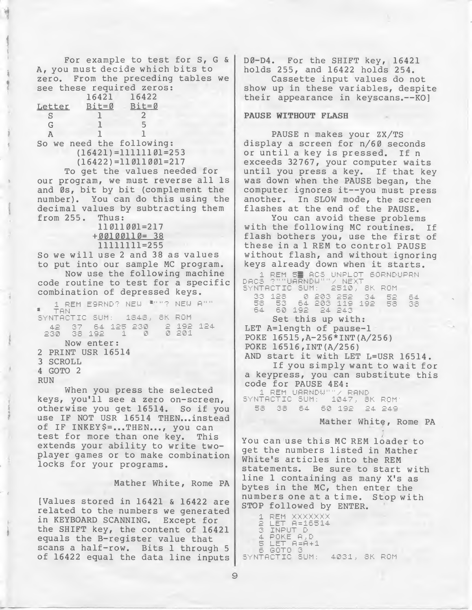For example to test for  $S$ ,  $G$  & A, you must decide which bits to zero. From the preceding tables we see these required zeros:<br>
16421 16422<br>
<u>Letter</u> Bit=0 Bit=0<br>
S 1 2<br>
G 1 5<br>
A 1 1<br>
So we need the following:<br>
(16421)=11111101=2 16421 16422<br>Bit=0 Bit=0  $\frac{\text{Letter}}{\text{S}}$  Bit=0 Bit<br>3 1 2  $S$ G 1 5 So we need the following: (16421)=11111101=253 (16422)=11011001=217 To get the values needed for our program, we must reverse all Is and 0s, bit by bit (complement the number). You can do this using the decimal values by subtracting them from 255. Thus: 11011001=217 + 00100110= 38 11111111=255 So we will use <sup>2</sup> and <sup>38</sup> as values to put into our sample MC program. Now use the following machine code routine to test for <sup>a</sup> specific combination of depressed keys.<br>\_\_\_1 REM E9RND? NEW \*""? NEW A"" TAN SYNTACTIC SUM: 1848, 8K ROM 42 37 54 125 230 2 192 124 38 192<br>Now enter: 0 201 2 PRINT USR 16514 3 SCROLL 4 GOTO 2 RUN When you press the selected

keys, you'll see a zero on-screen, otherwise you get 16514. So if you use IF NOT USR 16514 THEN...instead of IF INKEY \$ =... THEN..., you can test for more than one key. This extends your ability to write twoplayer games or to make combination locks for your programs.

Mather White, Rome PA

[Values stored in 16421 & 16422 are related to the numbers we generated in KEYBOARD SCANNING. Except for the SHIFT key, the content of 16421 equals the B-register value that scans a half-row. Bits <sup>1</sup> through <sup>5</sup> of 16422 equal the data line inputs D0-D4. For the SHIFT key, 16421 holds 255, and 16422 holds 254.

Cassette input values do not show up in these variables, despite their appearance in keyscans.--KO]

# PAUSE WITHOUT FLASH

PAUSE n makes your ZX/TS display a screen for n/60 seconds or until <sup>a</sup> key is pressed. If <sup>n</sup> exceeds 32767, your computer waits until you press a key. If that key was down when the PAUSE began, the computer ignores it--you must press another. In SLOW mode, the screen flashes at the end of the PAUSE.

You can avoid these problems<br>the following MC routines. If with the following MC routines. flash bothers you, use the first of these in a <sup>1</sup> REM to control PAUSE without flash, and without ignoring keys already down when it starts.

| 1 REM 5 1805 UNPLOT SORNDUPRN<br>DACS ?""UARNDW""/ NEXT |  |
|---------------------------------------------------------|--|
| SYNTACTIC SUM: 2510, 8K ROM                             |  |
| 58 53 54 203 119 192 58 38<br>64 60 192 24 243          |  |
|                                                         |  |
| Set this up with:                                       |  |
| LET A=length of pause-1                                 |  |
| POKE 16515, A-256*INT(A/256)                            |  |
| POKE 16516, INT (A/256)                                 |  |
| AND start it with LET L=USR 16514.                      |  |
| If you simply want to wait for                          |  |
| a keypress, you can substitute this                     |  |
| code for PAUSE 4E4:                                     |  |
| 1 REM UARNDU""/ RAND                                    |  |
| SYNTACTIC SUM: 1047, 8K ROM:                            |  |
| 58 38 54 50 192 24 249                                  |  |

Mather White, Rome PA

You can use this MC REM loader to get the numbers listed in Mather White's articles into the REM statements. Be sure to start with line <sup>1</sup> containing as many X's as bytes in the MC, then enter the numbers one at a time. Stop with STOP followed by ENTER.

1 REM XXXXXXX<br>2 LET A=16514 3 INPUT D<br>4 POKE A,D<br>5 LET A=A+1 S GOTO 3 11 4031, 8K ROM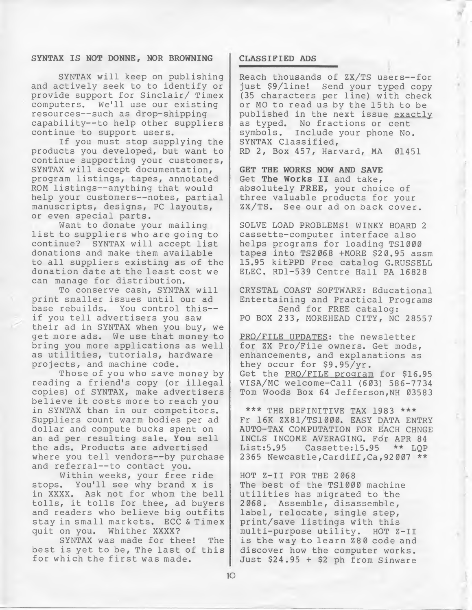# SYNTAX IS NOT DONNE, NOR BROWNING | CLASSIFIED ADS

SYNTAX will keep on publishing and actively seek to to identify or provide support for Sinclair/ Timex computers. We'll use our existing resources—such as drop-shipping capability—to help other suppliers continue to support users.

If you must stop supplying the products you developed, but want to continue supporting your customers, SYNTAX will accept documentation, program listings, tapes, annotated ROM listings—anything that would help your customers—notes, partial manuscripts, designs, PC layouts, or even special parts.

Want to donate your mailing list to suppliers who are going to continue? SYNTAX will accept list donations and make them available to all suppliers existing as of the donation date at the least cost we can manage for distribution.

To conserve cash, SYNTAX will print smaller issues until our ad base rebuilds. You control this if you tell advertisers you saw their ad in SYNTAX when you buy, we get more ads. We use that money to bring you more applications as well as utilities, tutorials, hardware projects, and machine code.

Those of you who save money by reading <sup>a</sup> friend's copy (or illegal copies) of SYNTAX, make advertisers believe it costs more to reach you in SYNTAX than in our competitors. Suppliers count warm bodies per ad dollar and compute bucks spent on an ad per resulting sale. You sell the ads. Products are advertised where you tell vendors--by purchase and referral--to contact you.

Within weeks, your free ride stops. You'll see why brand <sup>x</sup> is in XXXX. Ask not for whom the bell tolls, it tolls for thee, ad buyers and readers who believe big outfits stay in small markets. ECC & Timex<br>quit on you. Whither XXXX? Whither XXXX?

SYNTAX was made for thee! The best is yet to be, The last of this for which the first was made.

Reach thousands of ZX/TS users—for just \$9/line! Send your typed copy (35 characters per line) with check or MO to read us by the 15th to be published in the next issue exactly as typed. No fractions or cent<br>symbols. Include your phone No. Include your phone No. SYNTAX Classified, RD 2, Box 457, Harvard, MA 01451

GET THE WORKS NOW AND SAVE Get The Works II and take, absolutely FREE, your choice of three valuable products for your ZX/TS. See our ad on back cover.

SOLVE LOAD PROBLEMS! WINKY BOARD 2 cassette-computer interface also helps programs for loading TS1000 tapes into TS2068 +MORE \$20.95 assm 15.95 kitPPD Free catalog G.RUSSELL ELEC. RDl-539 Centre Hall PA 16828

CRYSTAL COAST SOFTWARE: Educational Entertaining and Practical Programs Send for FREE catalog: PO BOX 233, MOREHEAD CITY, NC 28557

PRO/FILE UPDATES: the newsletter for ZX Pro/File owners. Get mods, enhancements, and explanations as they occur for \$9.95/yr. Get the PRO/FILE program for \$16.95 VISA/MC welcome-Call (603) 586-7734 Tom Woods Box 64 Jefferson, NH 03583

\*\*\* THE DEFINITIVE TAX 1983 \*\*\* Fr 16K ZX81/TS1000. EASY DATA ENTRY AUTO-TAX COMPUTATION FOR EACH CHNGE INCLS INCOME AVERAGING. For APR 84 Cassette:15.95 2365 Newcastle,Cardiff,Ca,92007 \*\*

HOT Z-II FOR THE 2068 The best of the TS1000 machine utilities has migrated to the 2068. Assemble, disassemble, label, relocate, single step, print/save listings with this multi-purpose utility. HOT Z-II is the way to learn Z80 code and discover how the computer works. Just \$24.95 <sup>+</sup> \$2 ph from Sinware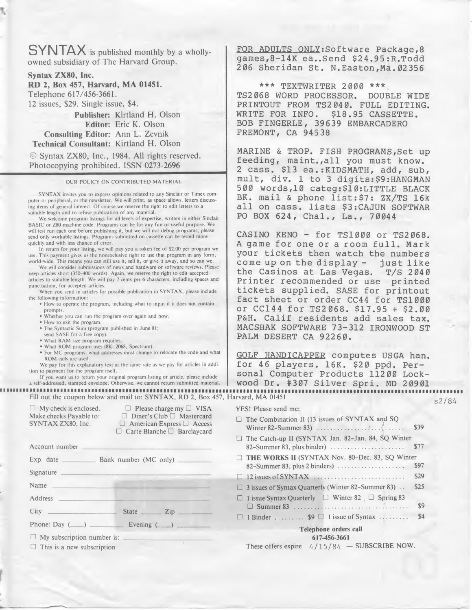SYNTAX is published monthly by <sup>a</sup> whollyowned subsidiary of The Harvard Group.

Syntax ZX80, Inc. RD 2, Box 457, Harvard, MA 01451. Telephone 617/456-3661. 12 issues, \$29. Single issue, \$4.

Publisher: Kirtland H. Olson Editor: Eric K. Olson Consulting Editor: Ann L. Zevnik Technical Consultant: Kirtland H. Olson

© Syntax ZX80, Inc., 1984. All rights reserved. Photocopying prohibited. ISSN 0273-2696

#### OUR POLICY ON CONTRIBUTED MATERIAL

SYNTAX invites you to express opinions related to any Sinclair or Timex com puter or peripheral, or the newsletter. We will print, as space allows, letters discussing items of general interest. Of course we reserve the right to edit letters to a suitable length and to refuse publication of any material.

We welcome program listings for all levels of expertise, written in either Sinclair BASIC or Z80 machine code. Programs can be for any fun or useful purpose. We will test run each one before publishing it, but we will not debug programs; please send only workable listings. Programs submitted on cassette can be tested more quickly and with less chance of error.

In return for your listing, we will pay you a token fee of \$2.00 per program we use. This payment gives us the nonexclusive right to use that program in any form, world-wide. This means you can still use it, sell it, or give it away, and so can we.

Fill out the coupon below and mail to: SYNTAX, RD 2, Box 457, Harvard, MA 01451  $\Box$  My check is enclosed.  $\Box$  Please charge my  $\Box$  VISA

| In return for your listing, we will pay you a token fee of \$2.00 per program we<br>use. This payment gives us the nonexclusive right to use that program in any form,<br>world-wide. This means you can still use it, sell it, or give it away, and so can we.<br>We will consider submissions of news and hardware or software reviews. Please |
|--------------------------------------------------------------------------------------------------------------------------------------------------------------------------------------------------------------------------------------------------------------------------------------------------------------------------------------------------|
| keep articles short (350-400 words). Again, we reserve the right to edit accepted                                                                                                                                                                                                                                                                |
| articles to suitable length. We will pay 7 cents per 6 characters, including spaces and                                                                                                                                                                                                                                                          |
| punctuation, for accepted articles.<br>When you send in articles for possible publication in SYNTAX, please include                                                                                                                                                                                                                              |
| the following information:                                                                                                                                                                                                                                                                                                                       |
| . How to operate the program, including what to input if it does not contain                                                                                                                                                                                                                                                                     |
| prompts.<br>. Whether you can run the program over again and how.                                                                                                                                                                                                                                                                                |
| · How to exit the program.                                                                                                                                                                                                                                                                                                                       |
| · The Syntactic Sum (program published in June 81;                                                                                                                                                                                                                                                                                               |
| send SASE for a free copy).<br>• What RAM size program requires.                                                                                                                                                                                                                                                                                 |
| · What ROM program uses (8K, 2068, Spectrum).                                                                                                                                                                                                                                                                                                    |
| · For MC programs, what addresses must change to relocate the code and wha                                                                                                                                                                                                                                                                       |
| ROM calls are used.<br>We pay for this explanatory text at the same rate as we pay for articles in addi-                                                                                                                                                                                                                                         |
| tion to payment for the program itself.                                                                                                                                                                                                                                                                                                          |
| If you want us to return your original program listing or article, please include                                                                                                                                                                                                                                                                |
| a self-addressed, stamped envelope. Otherwise, we cannot return submitted material                                                                                                                                                                                                                                                               |
| Fill out the coupon below and mail to: SYNTAX, RD 2, Box 45                                                                                                                                                                                                                                                                                      |
| $\Box$ My check is enclosed.<br>$\Box$ Please charge my $\Box$ VISA<br>Make checks Payable to:<br>$\Box$ Diner's Club $\Box$ Mastercard<br>SYNTAX ZX80, Inc.<br>$\Box$ American Express $\Box$ Access<br>$\Box$ Carte Blanche $\Box$ Barclaycard                                                                                                 |
| Account number                                                                                                                                                                                                                                                                                                                                   |
|                                                                                                                                                                                                                                                                                                                                                  |
| Signature <b>Signature</b>                                                                                                                                                                                                                                                                                                                       |
| <u> Les algebra de la pro</u><br><b>Name</b>                                                                                                                                                                                                                                                                                                     |
| <b>Address</b>                                                                                                                                                                                                                                                                                                                                   |
| State <u>Zip</u><br>City                                                                                                                                                                                                                                                                                                                         |
|                                                                                                                                                                                                                                                                                                                                                  |
| My subscription number is:                                                                                                                                                                                                                                                                                                                       |
| $\Box$ This is a new subscription                                                                                                                                                                                                                                                                                                                |
|                                                                                                                                                                                                                                                                                                                                                  |
|                                                                                                                                                                                                                                                                                                                                                  |
|                                                                                                                                                                                                                                                                                                                                                  |

FOR ADULTS ONLY: Software Package, 8 games,8-14K ea..Send \$2 4.95 :R.Todd 206 Sheridan St. N.Easton,Ma.02356

\*\*\* TEXTWRITER 2000 \*\*\* TS2068 WORD PROCESSOR. DOUBLE WIDE PRINTOUT FROM TS2040. FULL EDITING. WRITE FOR INFO. \$18.95 CASSETTE. BOB FINGERLE, 39639 EMBARCADERO FREMONT, CA 94538

MARINE & TROP. FISH PROGRAMS,Set up feeding, maint.,all you must know. <sup>2</sup> cass. \$13 ea.:KIDSMATH, add, sub, mult, div. <sup>1</sup> to <sup>3</sup> digits:\$9:HANGMAN 500 words,10 categ:\$10:LITTLE BLACK BK. mail & phone list:\$7: ZX/TS 16k all on cass. lists \$3:CAJUN SOFTWAR PO BOX 624, Chal., La., 70044

GOLF HANDICAPPER computes USGA han. for 46 players. 16K. \$20 ppd. Personal Computer Products 11200 Lockwood Dr. #307 Silver Spri. MD 20901 Harvard, MA <sup>01451</sup> 0/0,

s2/84

| 2 cass. \$13 ea.: KIDSMATH, add, sub,<br>mult, div. 1 to 3 digits: \$9: HANGMAN<br>500 words, 10 categ: \$10: LITTLE BLACK<br>BK. mail & phone list: \$7: ZX/TS 16k<br>all on cass. lists \$3: CAJUN SOFTWAF<br>PO BOX 624, Chal., La., 70044                                                                                                                                                                                                                   |
|-----------------------------------------------------------------------------------------------------------------------------------------------------------------------------------------------------------------------------------------------------------------------------------------------------------------------------------------------------------------------------------------------------------------------------------------------------------------|
| CASINO KENO - for TS1000 or TS2068<br>A game for one or a room full. Mark<br>your tickets then watch the numbers<br>come up on the display - just like<br>the Casinos at Las Vegas. T/S 2044<br>Printer recommended or use printed<br>tickets supplied. SASE for printout<br>fact sheet or order CC44 for TS1000<br>or CC144 for TS2068. \$17.95 + \$2.00<br>P&H. Calif residents add sales tax<br>MACSHAK SOFTWARE 73-312 IRONWOOD ST<br>PALM DESERT CA 92260. |
| GOLF HANDICAPPER computes USGA han<br>for 46 players. 16K. \$20 ppd. Per-<br>sonal Computer Products 11200 Lock-<br>wood Dr. #307 Silver Spri. MD 20901<br>rvard, MA 01451                                                                                                                                                                                                                                                                                      |
| YES! Please send me:                                                                                                                                                                                                                                                                                                                                                                                                                                            |
| $\Box$ The Combination II (13 issues of SYNTAX and SQ                                                                                                                                                                                                                                                                                                                                                                                                           |
| \$39                                                                                                                                                                                                                                                                                                                                                                                                                                                            |
| The Catch-up II (SYNTAX Jan. 82-Jan. 84, SQ Winter<br>\$77<br>82-Summer 83, plus binder)                                                                                                                                                                                                                                                                                                                                                                        |
| THE WORKS II (SYNTAX Nov. 80-Dec. 83, SQ Winter                                                                                                                                                                                                                                                                                                                                                                                                                 |
| \$97                                                                                                                                                                                                                                                                                                                                                                                                                                                            |
| 12 issues of SYNTAX<br>\$29<br>□                                                                                                                                                                                                                                                                                                                                                                                                                                |
| 3 issues of Syntax Quarterly (Winter 82-Summer 83)<br>\$25<br>$\Box$                                                                                                                                                                                                                                                                                                                                                                                            |
| 1 issue Syntax Quarterly □ Winter 82 □ Spring 83<br>$\Box$<br>\$9                                                                                                                                                                                                                                                                                                                                                                                               |
| \$4<br>1 Binder \$9 □ 1 issue of Syntax<br>0                                                                                                                                                                                                                                                                                                                                                                                                                    |
| Telephone orders call                                                                                                                                                                                                                                                                                                                                                                                                                                           |
| 617-456-3661                                                                                                                                                                                                                                                                                                                                                                                                                                                    |
| These offers expire $4/15/84$ - SUBSCRIBE NOW.                                                                                                                                                                                                                                                                                                                                                                                                                  |
|                                                                                                                                                                                                                                                                                                                                                                                                                                                                 |
|                                                                                                                                                                                                                                                                                                                                                                                                                                                                 |
|                                                                                                                                                                                                                                                                                                                                                                                                                                                                 |
|                                                                                                                                                                                                                                                                                                                                                                                                                                                                 |
|                                                                                                                                                                                                                                                                                                                                                                                                                                                                 |